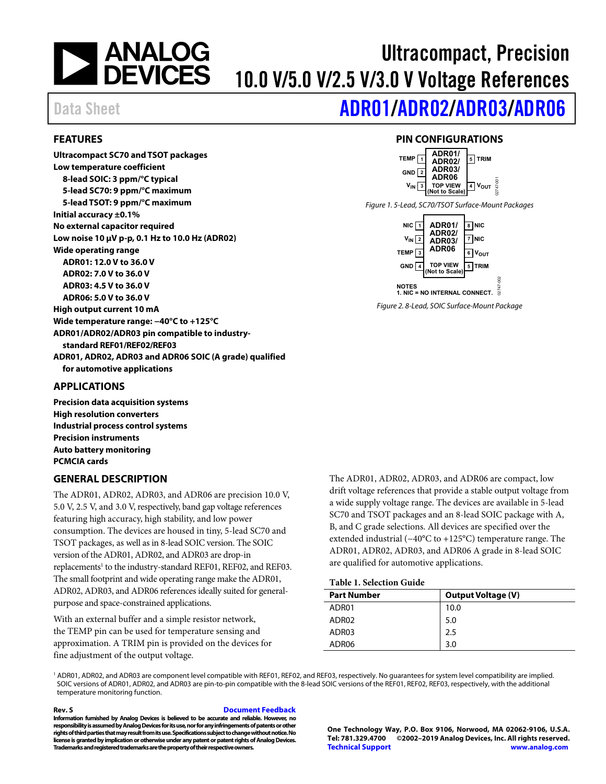

# Ultracompact, Precision 10.0 V/5.0 V/2.5 V/3.0 V Voltage References

# Data Sheet **[ADR01](https://www.analog.com/ADR01?doc=ADR01_02_03_06.pdf)[/ADR02](https://www.analog.com/ADR02?doc=ADR01_02_03_06.pdf)[/ADR03/](https://www.analog.com/ADR03?doc=ADR01_02_03_06.pdf)[ADR06](https://www.analog.com/ADR06?doc=ADR01_02_03_06.pdf)**

### <span id="page-0-0"></span>**FEATURES**

**Ultracompact SC70 and TSOT packages Low temperature coefficient 8-lead SOIC: 3 ppm/°C typical 5-lead SC70: 9 ppm/°C maximum 5-lead TSOT: 9 ppm/°C maximum Initial accuracy ±0.1% No external capacitor required Low noise 10 µV p-p, 0.1 Hz to 10.0 Hz (ADR02) Wide operating range ADR01: 12.0 V to 36.0 V ADR02: 7.0 V to 36.0 V ADR03: 4.5 V to 36.0 V ADR06: 5.0 V to 36.0 V High output current 10 mA Wide temperature range: −40°C to +125°C ADR01/ADR02/ADR03 pin compatible to industrystandard REF01/REF02/REF03 ADR01, ADR02, ADR03 and ADR06 SOIC (A grade) qualified for automotive applications**

### <span id="page-0-1"></span>**APPLICATIONS**

**Precision data acquisition systems High resolution converters Industrial process control systems Precision instruments Auto battery monitoring PCMCIA cards**

### <span id="page-0-3"></span>**GENERAL DESCRIPTION**

The ADR01, ADR02, ADR03, and ADR06 are precision 10.0 V, 5.0 V, 2.5 V, and 3.0 V, respectively, band gap voltage references featuring high accuracy, high stability, and low power consumption. The devices are housed in tiny, 5-lead SC70 and TSOT packages, as well as in 8-lead SOIC version. The SOIC version of the ADR01, ADR02, and ADR03 are drop-in replacements<sup>1</sup> to the industry-standard REF01, REF02, and REF03. The small footprint and wide operating range make the ADR01, ADR02, ADR03, and ADR06 references ideally suited for generalpurpose and space-constrained applications.

With an external buffer and a simple resistor network, the TEMP pin can be used for temperature sensing and approximation. A TRIM pin is provided on the devices for fine adjustment of the output voltage.

The ADR01, ADR02, ADR03, and ADR06 are compact, low drift voltage references that provide a stable output voltage from a wide supply voltage range. The devices are available in 5-lead SC70 and TSOT packages and an 8-lead SOIC package with A, B, and C grade selections. All devices are specified over the extended industrial (−40°C to +125°C) temperature range. The ADR01, ADR02, ADR03, and ADR06 A grade in 8-lead SOIC are qualified for automotive applications.

### **Table 1. Selection Guide**

| <b>Part Number</b> | <b>Output Voltage (V)</b> |  |
|--------------------|---------------------------|--|
| ADR01              | 10.0                      |  |
| ADR02              | 5.0                       |  |
| ADR03              | 2.5                       |  |
| ADR06              | 3.0                       |  |

<sup>1</sup> ADR01, ADR02, and ADR03 are component level compatible with REF01, REF02, and REF03, respectively. No guarantees for system level compatibility are implied. SOIC versions of ADR01, ADR02, and ADR03 are pin-to-pin compatible with the 8-lead SOIC versions of the REF01, REF02, REF03, respectively, with the additional temperature monitoring function.

**Rev. S [Document Feedback](https://form.analog.com/Form_Pages/feedback/documentfeedback.aspx?doc=ADR01_02_03_06.pdf&product=ADR01%20ADR02%20ADR03%20ADR06&rev=S)**

**Information furnished by Analog Devices is believed to be accurate and reliable. However, no**  responsibility is assumed by Analog Devices for its use, nor for any infringements of patents or other **rights of third parties that may result from its use.Specifications subject to change without notice. No license is granted by implication or otherwise under any patent or patent rights of Analog Devices. Trademarks and registered trademarks are the property of their respective owners.**

**One Technology Way, P.O. Box 9106, Norwood, MA 02062-9106, U.S.A. Tel: 781.329.4700 ©2002–2019 Analog Devices, Inc. All rights reserved. [Technical Support](http://www.analog.com/en/content/technical_support_page/fca.html) [www.analog.com](http://www.analog.com/)**

## **PIN CONFIGURATIONS**

<span id="page-0-4"></span><span id="page-0-2"></span>

**NOTES 1. NIC = NO INTERNAL CONNECT.**

<span id="page-0-5"></span>*Figure 2. 8-Lead, SOIC Surface-Mount Package*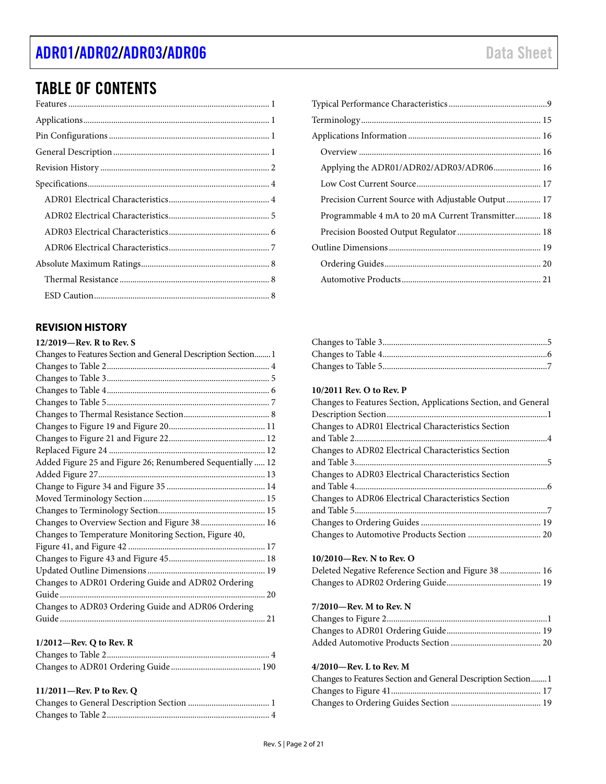# [ADR01](https://www.analog.com/ADR01?doc=ADR01_02_03_06.pdf)[/ADR02](https://www.analog.com/ADR02?doc=ADR01_02_03_06.pdf)[/ADR03](https://www.analog.com/ADR03?doc=ADR01_02_03_06.pdf)[/ADR06](https://www.analog.com/ADR06?doc=ADR01_02_03_06.pdf) data Sheet

# TABLE OF CONTENTS

<span id="page-1-0"></span>

#### **11/2011—Rev. P to Rev. Q**

| Precision Current Source with Adjustable Output 17 |
|----------------------------------------------------|
| Programmable 4 mA to 20 mA Current Transmitter 18  |
|                                                    |
|                                                    |
|                                                    |
|                                                    |
|                                                    |

#### **10/2011 Rev. O to Rev. P**

| Changes to Features Section, Applications Section, and General |
|----------------------------------------------------------------|
|                                                                |
| Changes to ADR01 Electrical Characteristics Section            |
|                                                                |
| Changes to ADR02 Electrical Characteristics Section            |
|                                                                |
| Changes to ADR03 Electrical Characteristics Section            |
|                                                                |
| Changes to ADR06 Electrical Characteristics Section            |
|                                                                |
|                                                                |
|                                                                |

#### **10/2010—Rev. N to Rev. O**

| Deleted Negative Reference Section and Figure 38  16 |  |
|------------------------------------------------------|--|
|                                                      |  |

#### **7/2010—Rev. M to Rev. N**

#### **4/2010—Rev. L to Rev. M**

| Changes to Features Section and General Description Section 1 |  |
|---------------------------------------------------------------|--|
|                                                               |  |
|                                                               |  |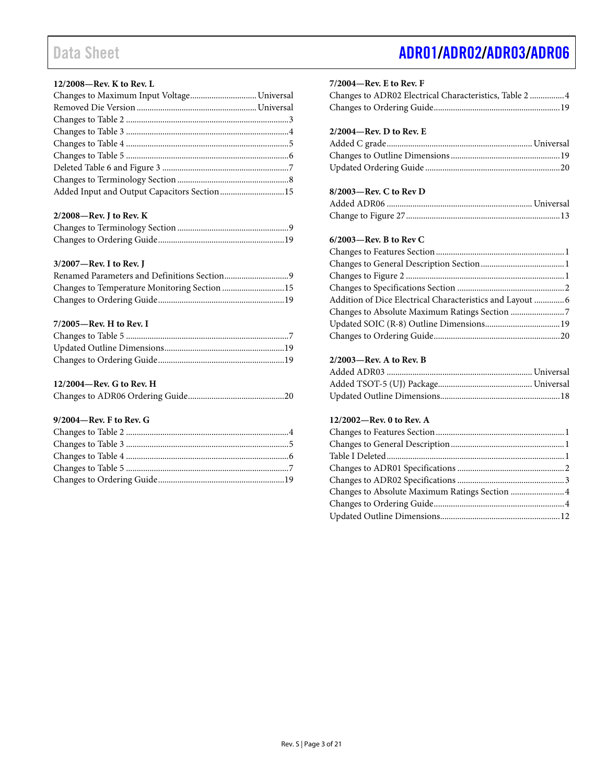### **12/2008—Rev. K to Rev. L**

| Added Input and Output Capacitors Section 15 |  |
|----------------------------------------------|--|

#### **2/2008—Rev. J to Rev. K**

#### **3/2007—Rev. I to Rev. J**

| Changes to Temperature Monitoring Section 15 |  |
|----------------------------------------------|--|
|                                              |  |

### **7/2005—Rev. H to Rev. I**

#### **12/2004—Rev. G to Rev. H**

|--|--|--|--|

#### **9/2004—Rev. F to Rev. G**

#### **7/2004—Rev. E to Rev. F**

| Changes to ADR02 Electrical Characteristics, Table 2  4 |  |
|---------------------------------------------------------|--|
|                                                         |  |

### **2/2004—Rev. D to Rev. E**

### **8/2003—Rev. C to Rev D**

### **6/2003—Rev. B to Rev C**

| Addition of Dice Electrical Characteristics and Layout  6 |  |
|-----------------------------------------------------------|--|
|                                                           |  |
|                                                           |  |
|                                                           |  |
|                                                           |  |

### **2/2003—Rev. A to Rev. B**

### **12/2002—Rev. 0 to Rev. A**

| Changes to Absolute Maximum Ratings Section  4 |  |
|------------------------------------------------|--|
|                                                |  |
|                                                |  |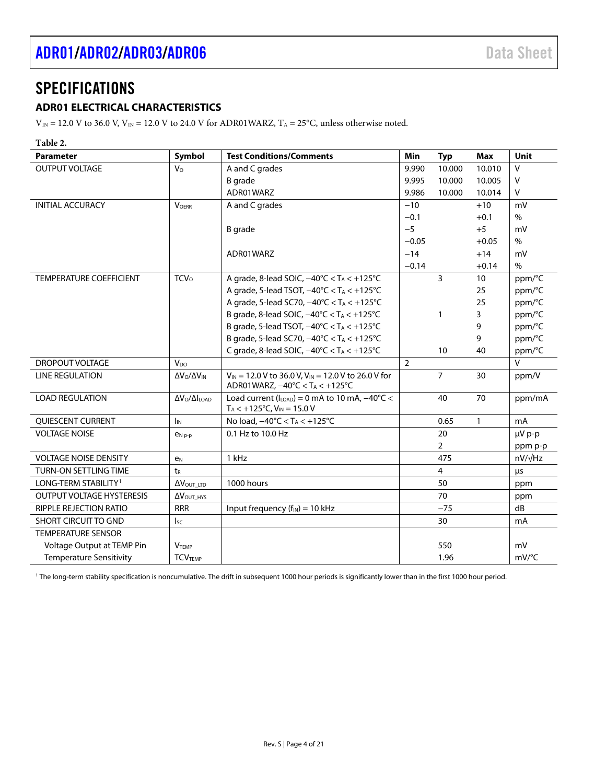# <span id="page-3-0"></span>**SPECIFICATIONS**

### <span id="page-3-1"></span>**ADR01 ELECTRICAL CHARACTERISTICS**

 $V_{\text{IN}}$  = 12.0 V to 36.0 V,  $V_{\text{IN}}$  = 12.0 V to 24.0 V for ADR01WARZ, T<sub>A</sub> = 25°C, unless otherwise noted.

### **Table 2.**

| <b>Parameter</b>                 | Symbol                                | <b>Test Conditions/Comments</b>                                                                             | Min            | <b>Typ</b>     | <b>Max</b>   | Unit                |
|----------------------------------|---------------------------------------|-------------------------------------------------------------------------------------------------------------|----------------|----------------|--------------|---------------------|
| <b>OUTPUT VOLTAGE</b>            | V <sub>o</sub>                        | A and C grades                                                                                              | 9.990          | 10.000         | 10.010       | $\vee$              |
|                                  |                                       | <b>B</b> grade                                                                                              | 9.995          | 10.000         | 10.005       | $\mathsf{V}$        |
|                                  |                                       | ADR01WARZ                                                                                                   | 9.986          | 10.000         | 10.014       | V                   |
| <b>INITIAL ACCURACY</b>          | <b>VOFRR</b>                          | A and C grades                                                                                              | $-10$          |                | $+10$        | mV                  |
|                                  |                                       |                                                                                                             | $-0.1$         |                | $+0.1$       | $\%$                |
|                                  |                                       | <b>B</b> grade                                                                                              | $-5$           |                | $+5$         | mV                  |
|                                  |                                       |                                                                                                             | $-0.05$        |                | $+0.05$      | $\%$                |
|                                  |                                       | ADR01WARZ                                                                                                   | $-14$          |                | $+14$        | mV                  |
|                                  |                                       |                                                                                                             | $-0.14$        |                | $+0.14$      | $\frac{0}{0}$       |
| TEMPERATURE COEFFICIENT          | <b>TCV</b> <sub>o</sub>               | A grade, 8-lead SOIC, $-40^{\circ}$ C < T <sub>A</sub> < $+125^{\circ}$ C                                   |                | 3              | 10           | ppm/°C              |
|                                  |                                       | A grade, 5-lead TSOT, $-40^{\circ}$ C $< T_A < +125^{\circ}$ C                                              |                |                | 25           | ppm/°C              |
|                                  |                                       | A grade, 5-lead SC70, $-40^{\circ}$ C < T <sub>A</sub> < $+125^{\circ}$ C                                   |                |                | 25           | ppm/°C              |
|                                  |                                       | B grade, 8-lead SOIC, $-40^{\circ}$ C < T <sub>A</sub> < $+125^{\circ}$ C                                   |                | 1              | 3            | ppm/°C              |
|                                  |                                       | B grade, 5-lead TSOT, $-40^{\circ}$ C < T <sub>A</sub> < $+125^{\circ}$ C                                   |                |                | 9            | ppm/°C              |
|                                  |                                       | B grade, 5-lead SC70, $-40^{\circ}$ C < T <sub>A</sub> < $+125^{\circ}$ C                                   |                |                | 9            | ppm/°C              |
|                                  |                                       | C grade, 8-lead SOIC, $-40^{\circ}$ C < T <sub>A</sub> < $+125^{\circ}$ C                                   |                | 10             | 40           | ppm/°C              |
| <b>DROPOUT VOLTAGE</b>           | $V_{DO}$                              |                                                                                                             | $\overline{2}$ |                |              | $\vee$              |
| <b>LINE REGULATION</b>           | $\Delta V_O / \Delta V_{IN}$          | $V_{IN}$ = 12.0 V to 36.0 V, V <sub>IN</sub> = 12.0 V to 26.0 V for<br>ADR01WARZ, -40°C < TA < +125°C       |                | $\overline{7}$ | 30           | ppm/V               |
| <b>LOAD REGULATION</b>           | $\Delta V_O / \Delta I_{\text{LOAD}}$ | Load current ( $I_{LOAD}$ ) = 0 mA to 10 mA, $-40^{\circ}$ C <<br>$T_A < +125$ °C, V <sub>IN</sub> = 15.0 V |                | 40             | 70           | ppm/mA              |
| QUIESCENT CURRENT                | $I_{IN}$                              | No load, -40°C < TA < +125°C                                                                                |                | 0.65           | $\mathbf{1}$ | mA                  |
| <b>VOLTAGE NOISE</b>             | $e_{Np-p}$                            | 0.1 Hz to 10.0 Hz                                                                                           |                | 20             |              | µV p-p              |
|                                  |                                       |                                                                                                             |                | $\overline{2}$ |              | ppm p-p             |
| <b>VOLTAGE NOISE DENSITY</b>     | e <sub>N</sub>                        | 1 kHz                                                                                                       |                | 475            |              | $nV/\sqrt{Hz}$      |
| <b>TURN-ON SETTLING TIME</b>     | tR                                    |                                                                                                             |                | 4              |              | μs                  |
| LONG-TERM STABILITY <sup>1</sup> | Δ VOUT LTD                            | 1000 hours                                                                                                  |                | 50             |              | ppm                 |
| <b>OUTPUT VOLTAGE HYSTERESIS</b> | $\Delta V_{\text{OUT\_HYS}}$          |                                                                                                             |                | 70             |              | ppm                 |
| RIPPLE REJECTION RATIO           | <b>RRR</b>                            | Input frequency $(f_{IN}) = 10$ kHz                                                                         |                | $-75$          |              | dB                  |
| <b>SHORT CIRCUIT TO GND</b>      | $I_{SC}$                              |                                                                                                             |                | 30             |              | mA                  |
| <b>TEMPERATURE SENSOR</b>        |                                       |                                                                                                             |                |                |              |                     |
| Voltage Output at TEMP Pin       | <b>VTEMP</b>                          |                                                                                                             |                | 550            |              | mV                  |
| <b>Temperature Sensitivity</b>   | <b>TCVTEMP</b>                        |                                                                                                             |                | 1.96           |              | $mV$ <sup>o</sup> C |

<sup>1</sup> The long-term stability specification is noncumulative. The drift in subsequent 1000 hour periods is significantly lower than in the first 1000 hour period.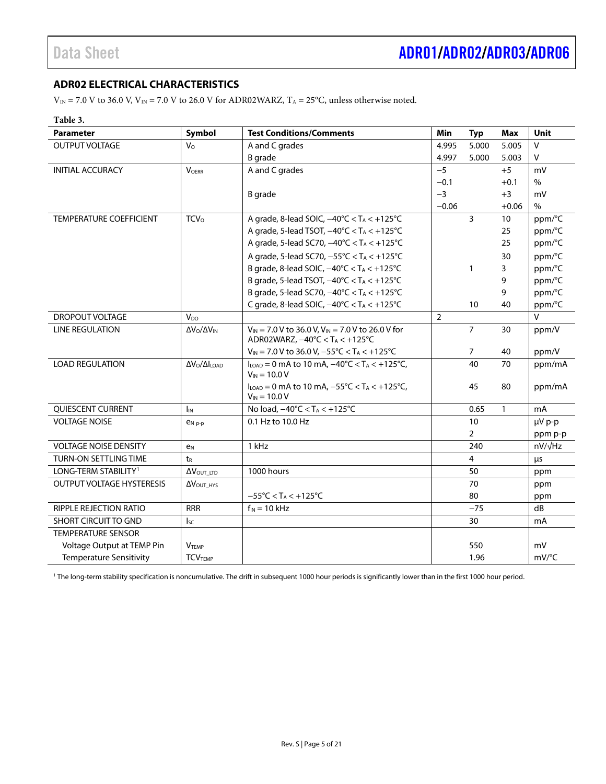### <span id="page-4-0"></span>**ADR02 ELECTRICAL CHARACTERISTICS**

 $V_{\text{IN}} = 7.0$  V to 36.0 V,  $V_{\text{IN}} = 7.0$  V to 26.0 V for ADR02WARZ,  $T_A = 25^{\circ}$ C, unless otherwise noted.

#### **Table 3.**

| <b>Parameter</b>                 | Symbol                                | <b>Test Conditions/Comments</b>                                                                                                     | <b>Min</b>     | <b>Typ</b>     | <b>Max</b>   | Unit           |
|----------------------------------|---------------------------------------|-------------------------------------------------------------------------------------------------------------------------------------|----------------|----------------|--------------|----------------|
| <b>OUTPUT VOLTAGE</b>            | $V_{\rm O}$                           | A and C grades                                                                                                                      | 4.995          | 5.000          | 5.005        | V              |
|                                  |                                       | <b>B</b> grade                                                                                                                      | 4.997          | 5.000          | 5.003        | V              |
| <b>INITIAL ACCURACY</b>          | <b>VOERR</b>                          | A and C grades                                                                                                                      | $-5$           |                | $+5$         | mV             |
|                                  |                                       |                                                                                                                                     | $-0.1$         |                | $+0.1$       | $\%$           |
|                                  |                                       | <b>B</b> grade                                                                                                                      | $-3$           |                | $+3$         | mV             |
|                                  |                                       |                                                                                                                                     | $-0.06$        |                | $+0.06$      | $\frac{0}{0}$  |
| <b>TEMPERATURE COEFFICIENT</b>   | <b>TCV</b> <sub>o</sub>               | A grade, 8-lead SOIC, $-40^{\circ}$ C < T <sub>A</sub> < $+125^{\circ}$ C                                                           |                | $\overline{3}$ | 10           | ppm/°C         |
|                                  |                                       | A grade, 5-lead TSOT, $-40^{\circ}$ C < T <sub>A</sub> < $+125^{\circ}$ C                                                           |                |                | 25           | ppm/°C         |
|                                  |                                       | A grade, 5-lead SC70, -40°C < T <sub>A</sub> < +125°C                                                                               |                |                | 25           | ppm/°C         |
|                                  |                                       | A grade, 5-lead SC70, -55°C < TA < +125°C                                                                                           |                |                | 30           | ppm/°C         |
|                                  |                                       | B grade, 8-lead SOIC, $-40^{\circ}$ C < T <sub>A</sub> < $+125^{\circ}$ C                                                           |                | $\mathbf{1}$   | 3            | ppm/°C         |
|                                  |                                       | B grade, 5-lead TSOT, $-40^{\circ}$ C < T <sub>A</sub> < $+125^{\circ}$ C                                                           |                |                | 9            | ppm/°C         |
|                                  |                                       | B grade, 5-lead SC70, -40°C < T <sub>A</sub> < +125°C                                                                               |                |                | 9            | ppm/°C         |
|                                  |                                       | C grade, 8-lead SOIC, $-40^{\circ}$ C < T <sub>A</sub> < $+125^{\circ}$ C                                                           |                | 10             | 40           | ppm/°C         |
| DROPOUT VOLTAGE                  | $V_{DO}$                              |                                                                                                                                     | $\overline{2}$ |                |              | $\vee$         |
| <b>LINE REGULATION</b>           | $\Delta V_O / \Delta V_{IN}$          | $V_{IN}$ = 7.0 V to 36.0 V, V <sub>IN</sub> = 7.0 V to 26.0 V for<br>ADR02WARZ, $-40^{\circ}$ C < T <sub>A</sub> < $+125^{\circ}$ C |                | $\overline{7}$ | 30           | ppm/V          |
|                                  |                                       | $V_{IN}$ = 7.0 V to 36.0 V, -55°C < T <sub>A</sub> < +125°C                                                                         |                | 7              | 40           | ppm/V          |
| <b>LOAD REGULATION</b>           | $\Delta V_0 / \Delta I_{\text{LOAD}}$ | $I_{\text{LOAD}} = 0$ mA to 10 mA, $-40^{\circ}$ C < T <sub>A</sub> < +125 $^{\circ}$ C,<br>$V_{IN} = 10.0 V$                       |                | 40             | 70           | ppm/mA         |
|                                  |                                       | $I_{\text{LOAD}} = 0$ mA to 10 mA, $-55^{\circ}$ C < T <sub>A</sub> < $+125^{\circ}$ C,<br>$V_{IN}$ = 10.0 V                        |                | 45             | 80           | ppm/mA         |
| QUIESCENT CURRENT                | $I_{IN}$                              | No load, $-40^{\circ}$ C < T <sub>A</sub> < $+125^{\circ}$ C                                                                        |                | 0.65           | $\mathbf{1}$ | mA             |
| <b>VOLTAGE NOISE</b>             | $e_{N,p-p}$                           | 0.1 Hz to 10.0 Hz                                                                                                                   |                | 10             |              | µV p-p         |
|                                  |                                       |                                                                                                                                     |                | $\overline{2}$ |              | ppm p-p        |
| <b>VOLTAGE NOISE DENSITY</b>     | e <sub>N</sub>                        | 1 kHz                                                                                                                               |                | 240            |              | $nV/\sqrt{Hz}$ |
| TURN-ON SETTLING TIME            | t <sub>R</sub>                        |                                                                                                                                     |                | 4              |              | μs             |
| LONG-TERM STABILITY <sup>1</sup> | $\Delta V_{\text{OUT\_LTD}}$          | 1000 hours                                                                                                                          |                | 50             |              | ppm            |
| <b>OUTPUT VOLTAGE HYSTERESIS</b> | $\Delta V_{\text{OUT HYS}}$           |                                                                                                                                     |                | 70             |              | ppm            |
|                                  |                                       | $-55^{\circ}$ C < T <sub>A</sub> < $+125^{\circ}$ C                                                                                 |                | 80             |              | ppm            |
| RIPPLE REJECTION RATIO           | <b>RRR</b>                            | $f_{IN}$ = 10 kHz                                                                                                                   |                | $-75$          |              | dB             |
| <b>SHORT CIRCUIT TO GND</b>      | $I_{SC}$                              |                                                                                                                                     |                | 30             |              | mA             |
| <b>TEMPERATURE SENSOR</b>        |                                       |                                                                                                                                     |                |                |              |                |
| Voltage Output at TEMP Pin       | <b>VTEMP</b>                          |                                                                                                                                     |                | 550            |              | mV             |
| <b>Temperature Sensitivity</b>   | <b>TCVTEMP</b>                        |                                                                                                                                     |                | 1.96           |              | mV/°C          |

<sup>1</sup> The long-term stability specification is noncumulative. The drift in subsequent 1000 hour periods is significantly lower than in the first 1000 hour period.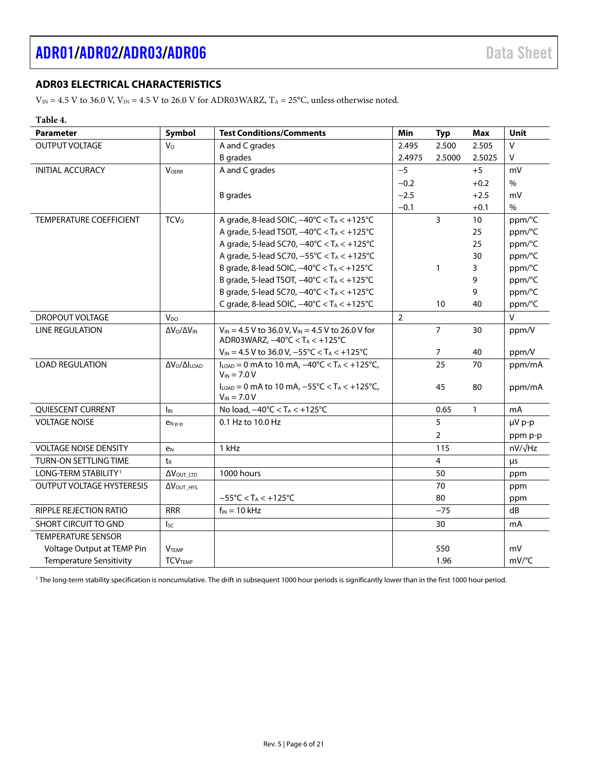## <span id="page-5-0"></span>**ADR03 ELECTRICAL CHARACTERISTICS**

 $V_{\text{IN}} = 4.5$  V to 36.0 V,  $V_{\text{IN}} = 4.5$  V to 26.0 V for ADR03WARZ,  $T_A = 25$ °C, unless otherwise noted.

### **Table 4.**

| <b>Parameter</b>                 | Symbol                                | <b>Test Conditions/Comments</b>                                                                                                     | Min            | <b>Typ</b>     | <b>Max</b>   | Unit           |
|----------------------------------|---------------------------------------|-------------------------------------------------------------------------------------------------------------------------------------|----------------|----------------|--------------|----------------|
| <b>OUTPUT VOLTAGE</b>            | $V_{\rm O}$                           | A and C grades                                                                                                                      | 2.495          | 2.500          | 2.505        | V              |
|                                  |                                       | <b>B</b> grades                                                                                                                     | 2.4975         | 2.5000         | 2.5025       | V              |
| <b>INITIAL ACCURACY</b>          | <b>VOERR</b>                          | A and C grades                                                                                                                      | $-5$           |                | $+5$         | mV             |
|                                  |                                       |                                                                                                                                     | $-0.2$         |                | $+0.2$       | $\%$           |
|                                  |                                       | <b>B</b> grades                                                                                                                     | $-2.5$         |                | $+2.5$       | mV             |
|                                  |                                       |                                                                                                                                     | $-0.1$         |                | $+0.1$       | $\%$           |
| <b>TEMPERATURE COEFFICIENT</b>   | <b>TCV</b> <sub>o</sub>               | A grade, 8-lead SOIC, $-40^{\circ}$ C < TA < $+125^{\circ}$ C                                                                       |                | 3              | 10           | ppm/°C         |
|                                  |                                       | A grade, 5-lead TSOT, $-40^{\circ}$ C < T <sub>A</sub> < $+125^{\circ}$ C                                                           |                |                | 25           | ppm/°C         |
|                                  |                                       | A grade, 5-lead SC70, $-40^{\circ}$ C < T <sub>A</sub> < $+125^{\circ}$ C                                                           |                |                | 25           | ppm/°C         |
|                                  |                                       | A grade, 5-lead SC70, -55°C < TA < +125°C                                                                                           |                |                | 30           | ppm/°C         |
|                                  |                                       | B grade, 8-lead SOIC, $-40^{\circ}$ C < T <sub>A</sub> < $+125^{\circ}$ C                                                           |                | $\mathbf{1}$   | 3            | ppm/°C         |
|                                  |                                       | B grade, 5-lead TSOT, $-40^{\circ}$ C < T <sub>A</sub> < $+125^{\circ}$ C                                                           |                |                | 9            | ppm/°C         |
|                                  |                                       | B grade, 5-lead SC70, -40°C < TA < +125°C                                                                                           |                |                | 9            | ppm/°C         |
|                                  |                                       | C grade, 8-lead SOIC, $-40^{\circ}$ C < T <sub>A</sub> < $+125^{\circ}$ C                                                           |                | 10             | 40           | ppm/°C         |
| DROPOUT VOLTAGE                  | V <sub>DO</sub>                       |                                                                                                                                     | $\overline{2}$ |                |              | $\mathsf{V}$   |
| <b>LINE REGULATION</b>           | $\Delta V_O / \Delta V_{IN}$          | $V_{IN}$ = 4.5 V to 36.0 V, V <sub>IN</sub> = 4.5 V to 26.0 V for<br>ADR03WARZ, $-40^{\circ}$ C < T <sub>A</sub> < $+125^{\circ}$ C |                | $\overline{7}$ | 30           | ppm/V          |
|                                  |                                       | $V_{IN} = 4.5 V$ to 36.0 V, $-55^{\circ}C < T_A < +125^{\circ}C$                                                                    |                | 7              | 40           | ppm/V          |
| <b>LOAD REGULATION</b>           | $\Delta V_O / \Delta I_{\text{LOAD}}$ | $I_{\text{LOAD}} = 0$ mA to 10 mA, $-40^{\circ}$ C < T <sub>A</sub> < +125 $^{\circ}$ C,<br>$V_{IN} = 7.0 V$                        |                | 25             | 70           | ppm/mA         |
|                                  |                                       | $I_{LOAD} = 0$ mA to 10 mA, $-55^{\circ}C < T_A < +125^{\circ}C$ ,<br>$V_{IN} = 7.0 V$                                              |                | 45             | 80           | ppm/mA         |
| QUIESCENT CURRENT                | $I_{IN}$                              | No load, $-40^{\circ}$ C < T <sub>A</sub> < $+125^{\circ}$ C                                                                        |                | 0.65           | $\mathbf{1}$ | mA             |
| <b>VOLTAGE NOISE</b>             | $P_N$ <sub>p-p</sub>                  | 0.1 Hz to 10.0 Hz                                                                                                                   |                | 5              |              | µV p-p         |
|                                  |                                       |                                                                                                                                     |                | $\overline{2}$ |              | ppm p-p        |
| <b>VOLTAGE NOISE DENSITY</b>     | e <sub>N</sub>                        | 1 kHz                                                                                                                               |                | 115            |              | $nV/\sqrt{Hz}$ |
| TURN-ON SETTLING TIME            | t <sub>R</sub>                        |                                                                                                                                     |                | 4              |              | $\mu$ s        |
| LONG-TERM STABILITY <sup>1</sup> | Δ VOUT_LTD                            | 1000 hours                                                                                                                          |                | 50             |              | ppm            |
| <b>OUTPUT VOLTAGE HYSTERESIS</b> | $\Delta V_{\text{OUT HYS}}$           |                                                                                                                                     |                | 70             |              | ppm            |
|                                  |                                       | $-55^{\circ}$ C < T <sub>A</sub> < $+125^{\circ}$ C                                                                                 |                | 80             |              | ppm            |
| RIPPLE REJECTION RATIO           | <b>RRR</b>                            | $f_{IN} = 10$ kHz                                                                                                                   |                | $-75$          |              | dB             |
| <b>SHORT CIRCUIT TO GND</b>      | $I_{SC}$                              |                                                                                                                                     |                | 30             |              | m <sub>A</sub> |
| <b>TEMPERATURE SENSOR</b>        |                                       |                                                                                                                                     |                |                |              |                |
| Voltage Output at TEMP Pin       | <b>VTEMP</b>                          |                                                                                                                                     |                | 550            |              | mV             |
| <b>Temperature Sensitivity</b>   | <b>TCVTEMP</b>                        |                                                                                                                                     |                | 1.96           |              | mV/°C          |

<sup>1</sup> The long-term stability specification is noncumulative. The drift in subsequent 1000 hour periods is significantly lower than in the first 1000 hour period.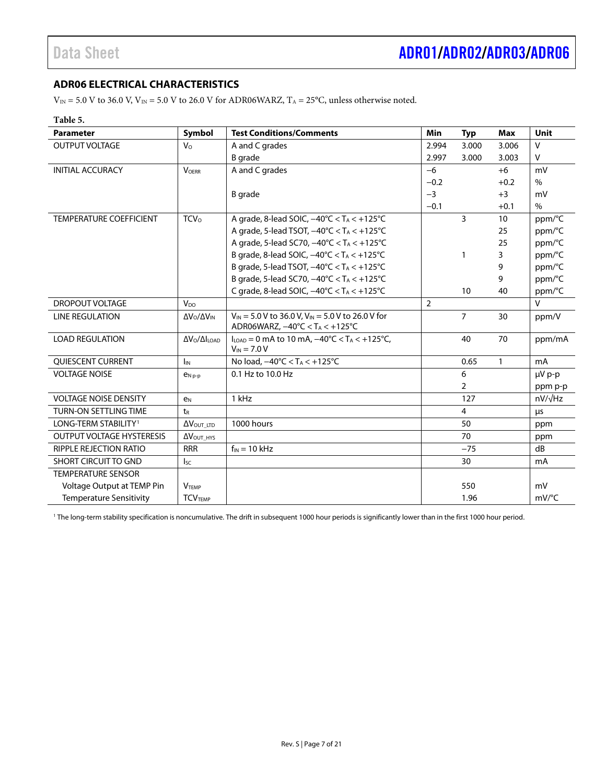### <span id="page-6-0"></span>**ADR06 ELECTRICAL CHARACTERISTICS**

 $V_{\text{IN}} = 5.0$  V to 36.0 V,  $V_{\text{IN}} = 5.0$  V to 26.0 V for ADR06WARZ,  $T_A = 25^{\circ}$ C, unless otherwise noted.

#### **Table 5.**

| <b>Parameter</b>                 | Symbol                         | <b>Test Conditions/Comments</b>                                                                                                     | Min            | <b>Typ</b>     | <b>Max</b>   | <b>Unit</b>         |
|----------------------------------|--------------------------------|-------------------------------------------------------------------------------------------------------------------------------------|----------------|----------------|--------------|---------------------|
| <b>OUTPUT VOLTAGE</b>            | $V_{\rm O}$                    | A and C grades                                                                                                                      | 2.994          | 3.000          | 3.006        | $\vee$              |
|                                  |                                | B grade                                                                                                                             | 2.997          | 3.000          | 3.003        | $\vee$              |
| <b>INITIAL ACCURACY</b>          | <b>VOFRR</b>                   | A and C grades                                                                                                                      | $-6$           |                | $+6$         | mV                  |
|                                  |                                |                                                                                                                                     | $-0.2$         |                | $+0.2$       | $\%$                |
|                                  |                                | B grade                                                                                                                             | $-3$           |                | $+3$         | mV                  |
|                                  |                                |                                                                                                                                     | $-0.1$         |                | $+0.1$       | $\%$                |
| <b>TEMPERATURE COEFFICIENT</b>   | <b>TCV</b> <sub>0</sub>        | A grade, 8-lead SOIC, $-40^{\circ}$ C < T <sub>A</sub> < $+125^{\circ}$ C                                                           |                | 3              | 10           | ppm/°C              |
|                                  |                                | A grade, 5-lead TSOT, $-40^{\circ}$ C $<$ T <sub>A</sub> $<$ +125 $^{\circ}$ C                                                      |                |                | 25           | ppm/°C              |
|                                  |                                | A grade, 5-lead SC70, -40°C < T <sub>A</sub> < +125°C                                                                               |                |                | 25           | ppm/°C              |
|                                  |                                | B grade, 8-lead SOIC, $-40^{\circ}$ C < T <sub>A</sub> < $+125^{\circ}$ C                                                           |                | 1              | 3            | ppm/°C              |
|                                  |                                | B grade, 5-lead TSOT, $-40^{\circ}$ C < T <sub>A</sub> < $+125^{\circ}$ C                                                           |                |                | 9            | ppm/°C              |
|                                  |                                | B grade, 5-lead SC70, $-40^{\circ}$ C < T <sub>A</sub> < $+125^{\circ}$ C                                                           |                |                | 9            | ppm/°C              |
|                                  |                                | C grade, 8-lead SOIC, $-40^{\circ}$ C < TA < $+125^{\circ}$ C                                                                       |                | 10             | 40           | ppm/°C              |
| <b>DROPOUT VOLTAGE</b>           | $V_{\text{DO}}$                |                                                                                                                                     | $\overline{2}$ |                |              | $\vee$              |
| <b>LINE REGULATION</b>           | $\Delta V_O / \Delta V_{IN}$   | $V_{IN}$ = 5.0 V to 36.0 V, V <sub>IN</sub> = 5.0 V to 26.0 V for<br>ADR06WARZ, $-40^{\circ}$ C < T <sub>A</sub> < $+125^{\circ}$ C |                | $\overline{7}$ | 30           | ppm/V               |
| <b>LOAD REGULATION</b>           | $\Delta V_O / \Delta I_{LOAD}$ | $I_{\text{LOAD}} = 0$ mA to 10 mA, $-40^{\circ}$ C < T <sub>A</sub> < +125 $^{\circ}$ C,<br>$V_{IN}$ = 7.0 V                        |                | 40             | 70           | ppm/mA              |
| QUIESCENT CURRENT                | $I_{IN}$                       | No load, $-40^{\circ}$ C < T <sub>A</sub> < $+125^{\circ}$ C                                                                        |                | 0.65           | $\mathbf{1}$ | mA                  |
| <b>VOLTAGE NOISE</b>             | $e_{Np-p}$                     | 0.1 Hz to 10.0 Hz                                                                                                                   |                | 6              |              | µV p-p              |
|                                  |                                |                                                                                                                                     |                | $\overline{2}$ |              | ppm p-p             |
| <b>VOLTAGE NOISE DENSITY</b>     | e <sub>N</sub>                 | 1 kHz                                                                                                                               |                | 127            |              | $nV/\sqrt{Hz}$      |
| <b>TURN-ON SETTLING TIME</b>     | t <sub>R</sub>                 |                                                                                                                                     |                | $\overline{4}$ |              | μs                  |
| LONG-TERM STABILITY <sup>1</sup> | Δ VOUT_LTD                     | 1000 hours                                                                                                                          |                | 50             |              | ppm                 |
| <b>OUTPUT VOLTAGE HYSTERESIS</b> | $\Delta V_{\text{OUT\_HYS}}$   |                                                                                                                                     |                | 70             |              | ppm                 |
| RIPPLE REJECTION RATIO           | <b>RRR</b>                     | $f_{IN}$ = 10 kHz                                                                                                                   |                | $-75$          |              | dB                  |
| <b>SHORT CIRCUIT TO GND</b>      | $I_{SC}$                       |                                                                                                                                     |                | 30             |              | mA                  |
| <b>TEMPERATURE SENSOR</b>        |                                |                                                                                                                                     |                |                |              |                     |
| Voltage Output at TEMP Pin       | <b>VTEMP</b>                   |                                                                                                                                     |                | 550            |              | mV                  |
| <b>Temperature Sensitivity</b>   | <b>TCVTEMP</b>                 |                                                                                                                                     |                | 1.96           |              | $mV$ <sup>o</sup> C |

<sup>1</sup> The long-term stability specification is noncumulative. The drift in subsequent 1000 hour periods is significantly lower than in the first 1000 hour period.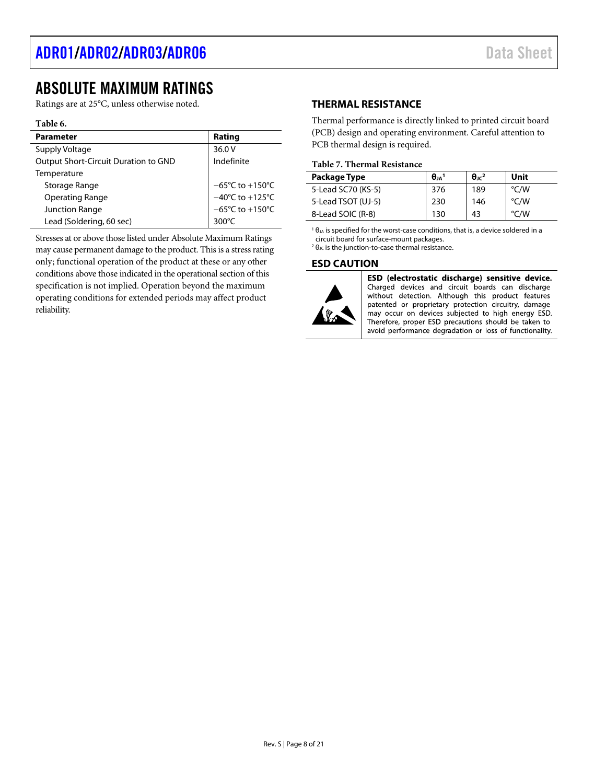# <span id="page-7-0"></span>ABSOLUTE MAXIMUM RATINGS

Ratings are at 25°C, unless otherwise noted.

#### **Table 6.**

| <b>Parameter</b>                     | Rating                               |
|--------------------------------------|--------------------------------------|
| Supply Voltage                       | 36.0 V                               |
| Output Short-Circuit Duration to GND | Indefinite                           |
| Temperature                          |                                      |
| Storage Range                        | $-65^{\circ}$ C to +150 $^{\circ}$ C |
| <b>Operating Range</b>               | $-40^{\circ}$ C to +125 $^{\circ}$ C |
| <b>Junction Range</b>                | $-65^{\circ}$ C to +150 $^{\circ}$ C |
| Lead (Soldering, 60 sec)             | 300°C                                |

Stresses at or above those listed under Absolute Maximum Ratings may cause permanent damage to the product. This is a stress rating only; functional operation of the product at these or any other conditions above those indicated in the operational section of this specification is not implied. Operation beyond the maximum operating conditions for extended periods may affect product reliability.

### <span id="page-7-1"></span>**THERMAL RESISTANCE**

Thermal performance is directly linked to printed circuit board (PCB) design and operating environment. Careful attention to PCB thermal design is required.

#### **Table 7. Thermal Resistance**

| Package Type       | $\theta_{JA}$ <sup>1</sup> | $\theta_{\rm 1C}$ <sup>2</sup> | Unit               |
|--------------------|----------------------------|--------------------------------|--------------------|
| 5-Lead SC70 (KS-5) | 376                        | 189                            | $\rm ^{\circ}$ C/W |
| 5-Lead TSOT (UJ-5) | 230                        | 146                            | $\degree$ C/W      |
| 8-Lead SOIC (R-8)  | 130                        | 43                             | °C/W               |

<sup>1</sup> $\theta$ <sub>JA</sub> is specified for the worst-case conditions, that is, a device soldered in a circuit board for surface-mount packages. 2

 $2 \theta$ <sub>JC</sub> is the junction-to-case thermal resistance.

#### <span id="page-7-2"></span>**ESD CAUTION**



ESD (electrostatic discharge) sensitive device. Charged devices and circuit boards can discharge without detection. Although this product features patented or proprietary protection circuitry, damage may occur on devices subjected to high energy ESD. Therefore, proper ESD precautions should be taken to avoid performance degradation or loss of functionality.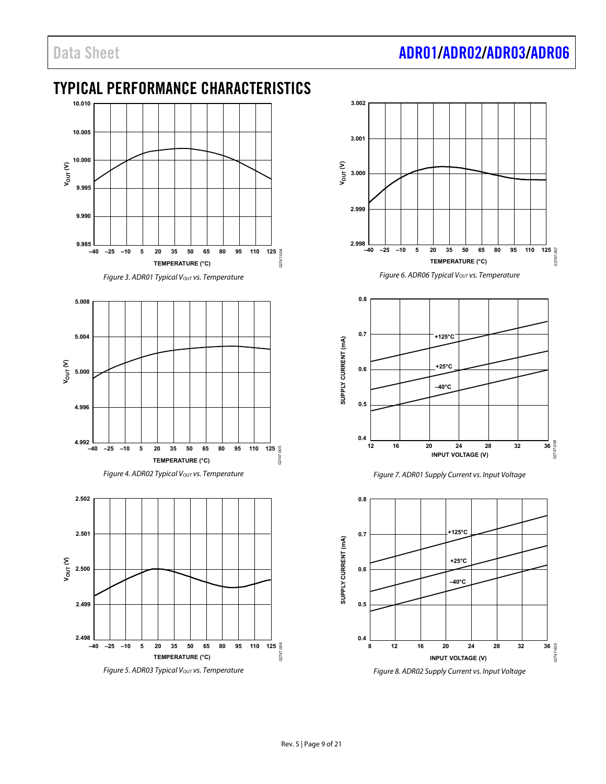# <span id="page-8-0"></span>TYPICAL PERFORMANCE CHARACTERISTICS



*Figure 3. ADR01 Typical Vout vs. Temperature* 







*Figure 5. ADR03 Typical V<sub>OUT</sub> vs. Temperature* 



*Figure 6. ADR06 Typical Vout vs. Temperature* 



*Figure 7. ADR01 Supply Current vs. Input Voltage*



*Figure 8. ADR02 Supply Current vs. Input Voltage*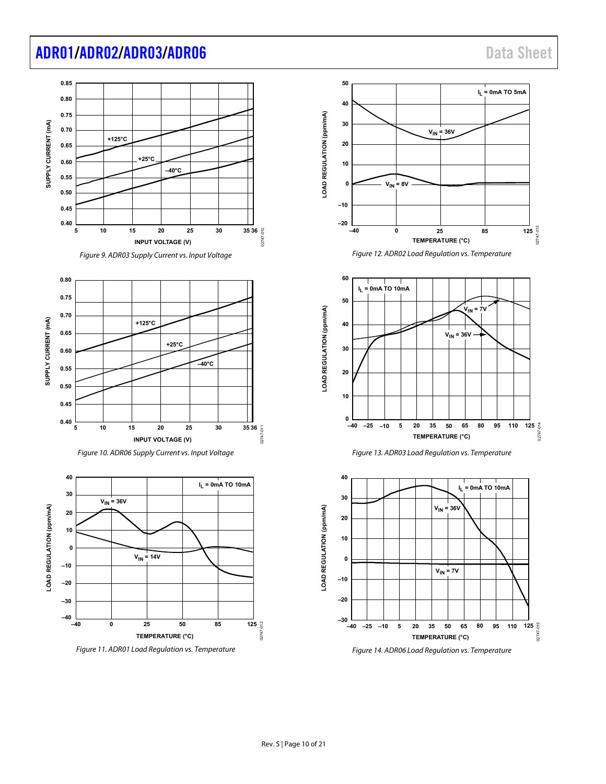# [ADR01](https://www.analog.com/ADR01?doc=ADR01_02_03_06.pdf)[/ADR02](https://www.analog.com/ADR02?doc=ADR01_02_03_06.pdf)[/ADR03](https://www.analog.com/ADR03?doc=ADR01_02_03_06.pdf)[/ADR06](https://www.analog.com/ADR06?doc=ADR01_02_03_06.pdf) Data Sheet

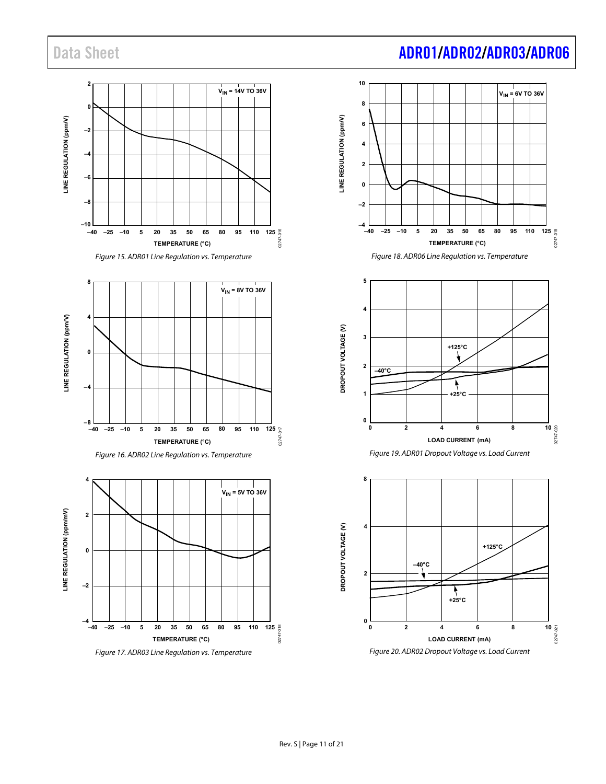











*Figure 20. ADR02 Dropout Voltage vs. Load Current*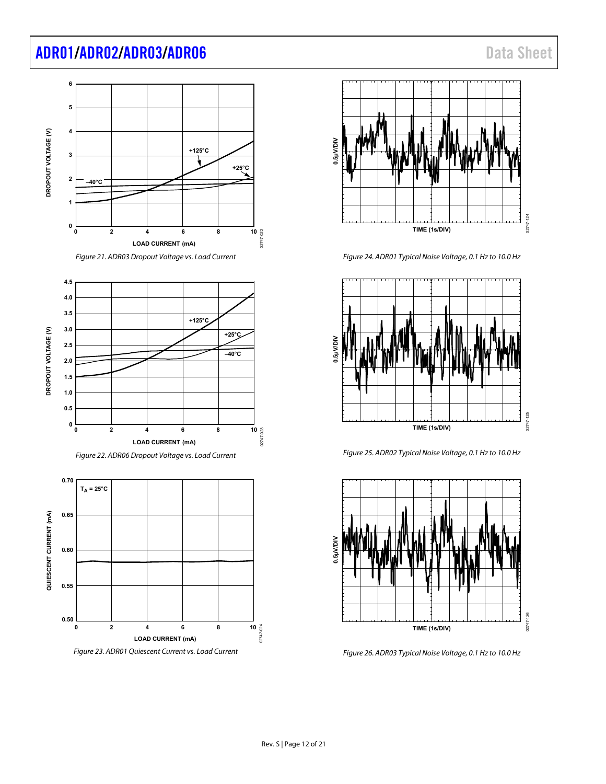# [ADR01/](https://www.analog.com/ADR01?doc=ADR01_02_03_06.pdf)[ADR02/](https://www.analog.com/ADR02?doc=ADR01_02_03_06.pdf)[ADR03/](https://www.analog.com/ADR03?doc=ADR01_02_03_06.pdf)[ADR06](https://www.analog.com/ADR06?doc=ADR01_02_03_06.pdf) data Sheet











<span id="page-11-0"></span>*Figure 23. ADR01 Quiescent Current vs. Load Current*



*Figure 24. ADR01 Typical Noise Voltage, 0.1 Hz to 10.0 Hz*



*Figure 25. ADR02 Typical Noise Voltage, 0.1 Hz to 10.0 Hz*



*Figure 26. ADR03 Typical Noise Voltage, 0.1 Hz to 10.0 Hz*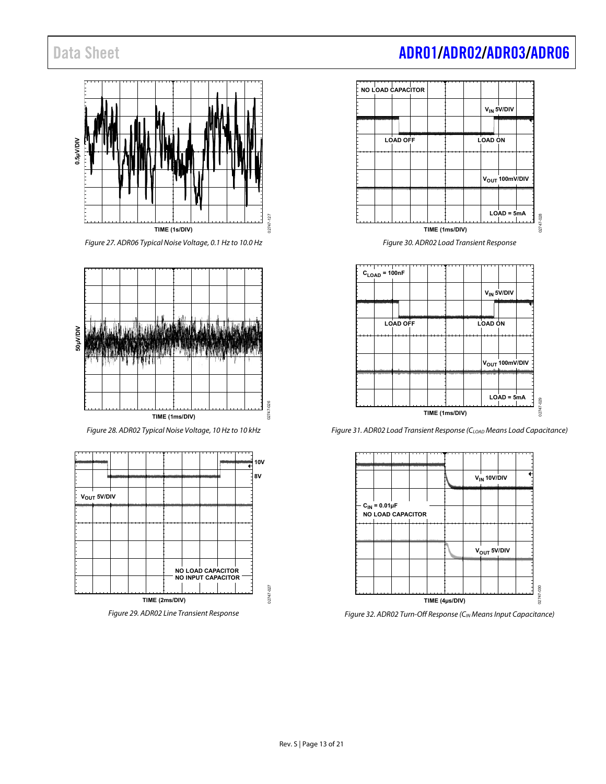

*Figure 27. ADR06 Typical Noise Voltage, 0.1 Hz to 10.0 Hz*



*Figure 28. ADR02 Typical Noise Voltage, 10 Hz to 10 kHz*



*Figure 29. ADR02 Line Transient Response*



*Figure 30. ADR02 Load Transient Response*



*Figure 31. ADR02 Load Transient Response (CLOAD Means Load Capacitance)*



*Figure 32. ADR02 Turn-Off Response (CIN Means Input Capacitance)*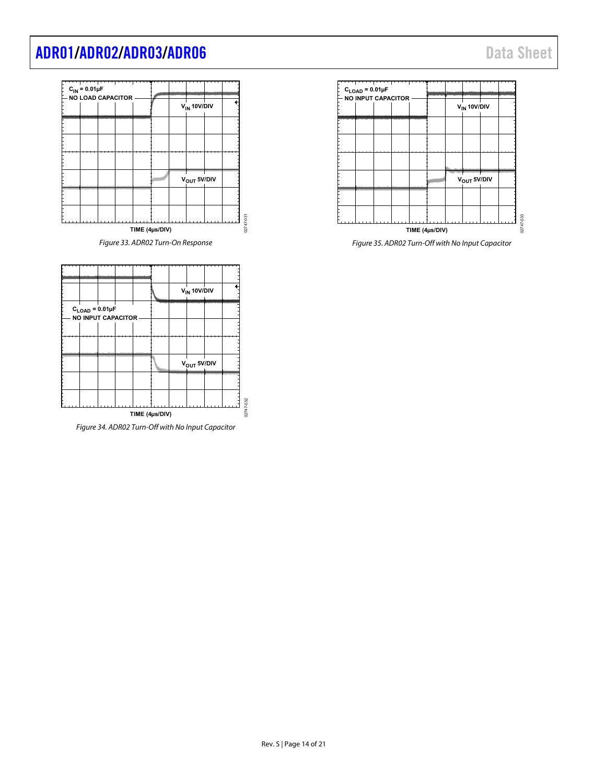# [ADR01](https://www.analog.com/ADR01?doc=ADR01_02_03_06.pdf)[/ADR02](https://www.analog.com/ADR02?doc=ADR01_02_03_06.pdf)[/ADR03](https://www.analog.com/ADR03?doc=ADR01_02_03_06.pdf)[/ADR06](https://www.analog.com/ADR06?doc=ADR01_02_03_06.pdf) Data Sheet





*Figure 35. ADR02 Turn-Off with No Input Capacitor*



*Figure 34. ADR02 Turn-Off with No Input Capacitor*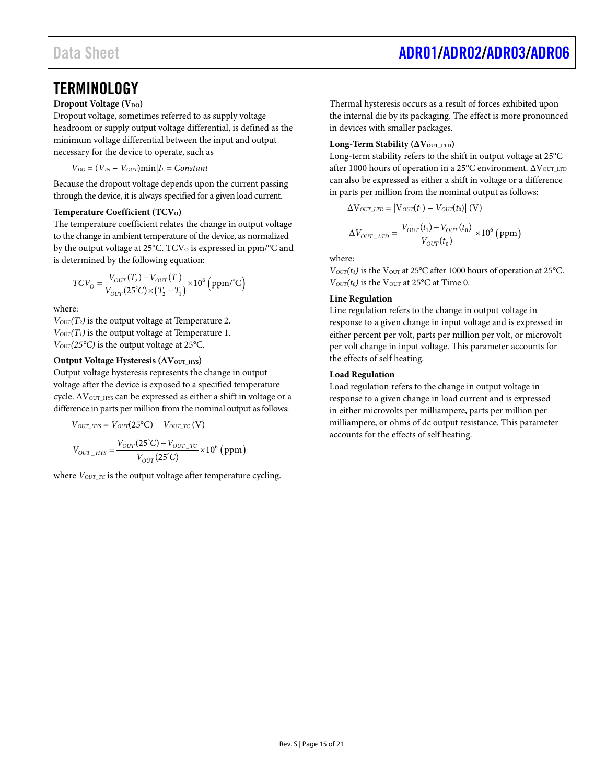# <span id="page-14-0"></span>**TERMINOLOGY**

### **Dropout Voltage (VDO)**

Dropout voltage, sometimes referred to as supply voltage headroom or supply output voltage differential, is defined as the minimum voltage differential between the input and output necessary for the device to operate, such as

 $V_{DO} = (V_{IN} - V_{OUT}) \min | I_L = Constant$ 

Because the dropout voltage depends upon the current passing through the device, it is always specified for a given load current.

#### **Temperature Coefficient (TCV<sub>O</sub>)**

The temperature coefficient relates the change in output voltage to the change in ambient temperature of the device, as normalized by the output voltage at  $25^{\circ}$ C. TCV<sub>o</sub> is expressed in ppm/ $\circ$ C and is determined by the following equation:

$$
TCV_O = \frac{V_{OUT}(T_2) - V_{OUT}(T_1)}{V_{OUT}(25\text{°C}) \times (T_2 - T_1)} \times 10^6 \text{ (ppm/°C)}
$$

where:

 $V<sub>OUT</sub>(T<sub>2</sub>)$  is the output voltage at Temperature 2.  $V_{OUT}(T_1)$  is the output voltage at Temperature 1. *VOUT(25°C)* is the output voltage at 25°C.

#### **Output Voltage Hysteresis** ( $ΔV$ <sub>OUT HYS</sub>)

Output voltage hysteresis represents the change in output voltage after the device is exposed to a specified temperature cycle. ΔV<sub>OUT\_HYS</sub> can be expressed as either a shift in voltage or a difference in parts per million from the nominal output as follows:

$$
V_{OUT\_HYS} = V_{OUT}(25^{\circ}\text{C}) - V_{OUT\_TC} (V)
$$

$$
V_{OUT\_HYS} = \frac{V_{OUT}(25^{\circ}\text{C}) - V_{OUT\_TC}}{V_{OUT}(25^{\circ}\text{C})} \times 10^{6} \text{ (ppm)}
$$

where  $V_{OUTTC}$  is the output voltage after temperature cycling.

Thermal hysteresis occurs as a result of forces exhibited upon the internal die by its packaging. The effect is more pronounced in devices with smaller packages.

#### **Long-Term Stability (ΔVOUT\_LTD)**

Long-term stability refers to the shift in output voltage at 25°C after 1000 hours of operation in a 25°C environment.  $\Delta V_{\text{OUT\_LTD}}$ can also be expressed as either a shift in voltage or a difference in parts per million from the nominal output as follows:

$$
\Delta V_{\text{OUT\_ITD}} = |V_{\text{OUT}}(t_1) - V_{\text{OUT}}(t_0)| (V)
$$

$$
\Delta V_{OUT\_LTD} = \left| \frac{V_{OUT}(t_1) - V_{OUT}(t_0)}{V_{OUT}(t_0)} \right| \times 10^6 \text{ (ppm)}
$$

where:

 $V_{OUT}(t_1)$  is the V<sub>OUT</sub> at 25°C after 1000 hours of operation at 25°C.  $V_{OUT}(t_0)$  is the V<sub>OUT</sub> at 25°C at Time 0.

#### **Line Regulation**

Line regulation refers to the change in output voltage in response to a given change in input voltage and is expressed in either percent per volt, parts per million per volt, or microvolt per volt change in input voltage. This parameter accounts for the effects of self heating.

#### **Load Regulation**

Load regulation refers to the change in output voltage in response to a given change in load current and is expressed in either microvolts per milliampere, parts per million per milliampere, or ohms of dc output resistance. This parameter accounts for the effects of self heating.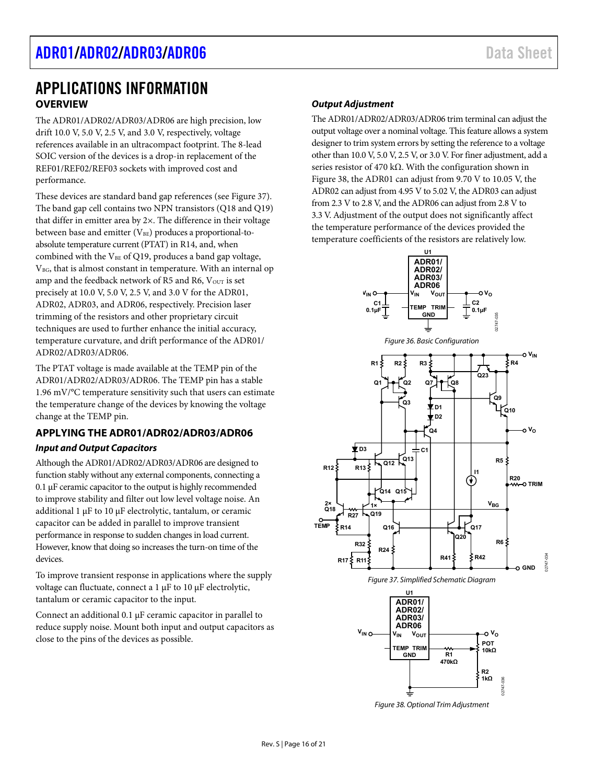# <span id="page-15-1"></span><span id="page-15-0"></span>APPLICATIONS INFORMATION **OVERVIEW**

The ADR01/ADR02/ADR03/ADR06 are high precision, low drift 10.0 V, 5.0 V, 2.5 V, and 3.0 V, respectively, voltage references available in an ultracompact footprint. The 8-lead SOIC version of the devices is a drop-in replacement of the REF01/REF02/REF03 sockets with improved cost and performance.

These devices are standard band gap references (see [Figure](#page-15-3) 37). The band gap cell contains two NPN transistors (Q18 and Q19) that differ in emitter area by 2×. The difference in their voltage between base and emitter  $(V_{BE})$  produces a proportional-toabsolute temperature current (PTAT) in R14, and, when combined with the  $V_{BE}$  of Q19, produces a band gap voltage,  $V_{BG}$ , that is almost constant in temperature. With an internal op amp and the feedback network of R5 and R6,  $V_{OUT}$  is set precisely at 10.0 V, 5.0 V, 2.5 V, and 3.0 V for the ADR01, ADR02, ADR03, and ADR06, respectively. Precision laser trimming of the resistors and other proprietary circuit techniques are used to further enhance the initial accuracy, temperature curvature, and drift performance of the ADR01/ ADR02/ADR03/ADR06.

The PTAT voltage is made available at the TEMP pin of the ADR01/ADR02/ADR03/ADR06. The TEMP pin has a stable 1.96 mV/°C temperature sensitivity such that users can estimate the temperature change of the devices by knowing the voltage change at the TEMP pin.

### <span id="page-15-2"></span>**APPLYING THE ADR01/ADR02/ADR03/ADR06**

### *Input and Output Capacitors*

Although the ADR01/ADR02/ADR03/ADR06 are designed to function stably without any external components, connecting a 0.1 µF ceramic capacitor to the output is highly recommended to improve stability and filter out low level voltage noise. An additional 1 µF to 10 µF electrolytic, tantalum, or ceramic capacitor can be added in parallel to improve transient performance in response to sudden changes in load current. However, know that doing so increases the turn-on time of the devices.

To improve transient response in applications where the supply voltage can fluctuate, connect a 1 µF to 10 µF electrolytic, tantalum or ceramic capacitor to the input.

Connect an additional 0.1 µF ceramic capacitor in parallel to reduce supply noise. Mount both input and output capacitors as close to the pins of the devices as possible.

### *Output Adjustment*

The ADR01/ADR02/ADR03/ADR06 trim terminal can adjust the output voltage over a nominal voltage. This feature allows a system designer to trim system errors by setting the reference to a voltage other than 10.0 V, 5.0 V, 2.5 V, or 3.0 V. For finer adjustment, add a series resistor of 470 kΩ. With the configuration shown in [Figure 38,](#page-15-4) the ADR01 can adjust from 9.70 V to 10.05 V, the ADR02 can adjust from 4.95 V to 5.02 V, the ADR03 can adjust from 2.3 V to 2.8 V, and the ADR06 can adjust from 2.8 V to 3.3 V. Adjustment of the output does not significantly affect the temperature performance of the devices provided the temperature coefficients of the resistors are relatively low.



<span id="page-15-4"></span><span id="page-15-3"></span>*Figure 38. Optional Trim Adjustment*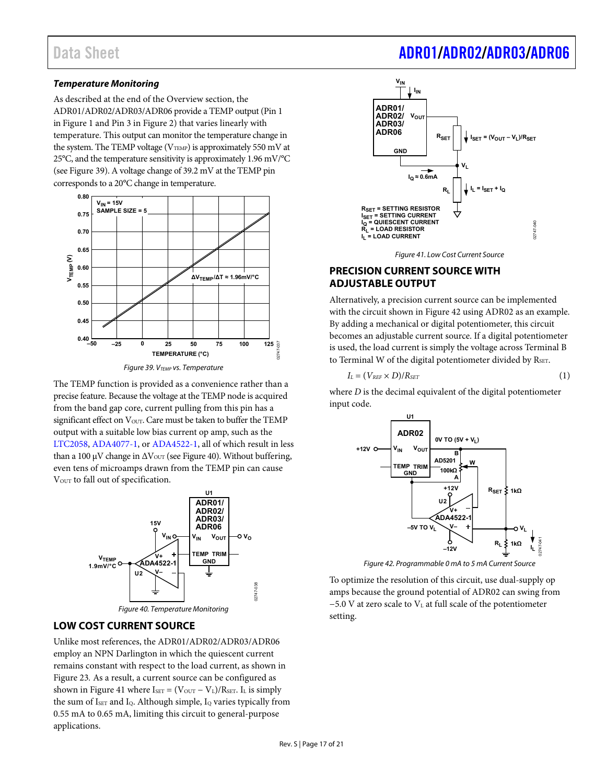### **Temperature Monitoring**

As described at the end of th[e Overview s](#page-15-1)ection, the ADR01/ADR02/ADR03/ADR06 provide a TEMP output (Pin 1 i[n Figure 1 a](#page-0-4)nd Pin 3 i[n Figure 2\)](#page-0-5) that varies linearly with temperature. This output can monitor the temperature change in the system. The TEMP voltage ( $V_{\text{TEMP}}$ ) is approximately 550 mV at 25°C, and the temperature sensitivity is approximately 1.96 mV/°C (se[e Figure 39\)](#page-16-2). A voltage change of 39.2 mV at the TEMP pin corresponds to a 20°C change in temperature.



Figure 39. V<sub>TEMP</sub> vs. Temperature

<span id="page-16-2"></span>The TEMP function is provided as a convenience rather than a precise feature. Because the voltage at the TEMP node is acquired from the band gap core, current pulling from this pin has a significant effect on V<sub>OUT</sub>. Care must be taken to buffer the TEMP output with a suitable low bias current op amp, such as the [LTC2058,](https://www.analog.com/LTC2058?doc=ADR01_02_03_06.pdf) [ADA4077-1](https://www.analog.com/ADA4077-1?doc=ADR01_02_03_06.pdf), or [ADA4522-1,](https://www.analog.com/ADA4522-1?doc=ADR01_02_03_06.pdf) all of which result in less than a 100 μV change in  $\Delta V_{\text{OUT}}$  (se[e Figure 40\)](#page-16-3). Without buffering, even tens of microamps drawn from the TEMP pin can cause V<sub>OUT</sub> to fall out of specification.



# <span id="page-16-3"></span><span id="page-16-0"></span>**LOW COST CURRENT SOURCE**

Unlike most references, the ADR01/ADR02/ADR03/ADR06 employ an NPN Darlington in which the quiescent current remains constant with respect to the load current, as shown in [Figure 23](#page-11-0)*.* As a result, a current source can be configured as shown in [Figure 41 w](#page-16-4)here  $I_{\text{SET}} = (V_{\text{OUT}} - V_{\text{L}})/R_{\text{SET}}$ . I<sub>L</sub> is simply the sum of Iser and I<sub>Q</sub>. Although simple, I<sub>Q</sub> varies typically from 0.55 mA to 0.65 mA, limiting this circuit to general-purpose applications.

# Data Sheet Additional Abread [ADR01/](https://www.analog.com/ADR01?doc=ADR01_02_03_06.pdf)[ADR02/](https://www.analog.com/ADR02?doc=ADR01_02_03_06.pdf)[ADR03/](https://www.analog.com/ADR03?doc=ADR01_02_03_06.pdf)[ADR06](https://www.analog.com/ADR06?doc=ADR01_02_03_06.pdf)





## <span id="page-16-4"></span><span id="page-16-1"></span>**PRECISION CURRENT SOURCE WITH ADJUSTABLE OUTPUT**

Alternatively, a precision current source can be implemented with the circuit shown in [Figure 42 u](#page-16-5)sing ADR02 as an example. By adding a mechanical or digital potentiometer, this circuit becomes an adjustable current source. If a digital potentiometer is used, the load current is simply the voltage across Terminal B to Terminal W of the digital potentiometer divided by RSET.

$$
I_L = (V_{REF} \times D)/R_{SET} \tag{1}
$$

where *D* is the decimal equivalent of the digital potentiometer input code.



Figure 42. Programmable 0 mA to 5 mA Current Source

<span id="page-16-5"></span>To optimize the resolution of this circuit, use dual-supply op amps because the ground potential of ADR02 can swing from −5.0 V at zero scale to VL at full scale of the potentiometer setting.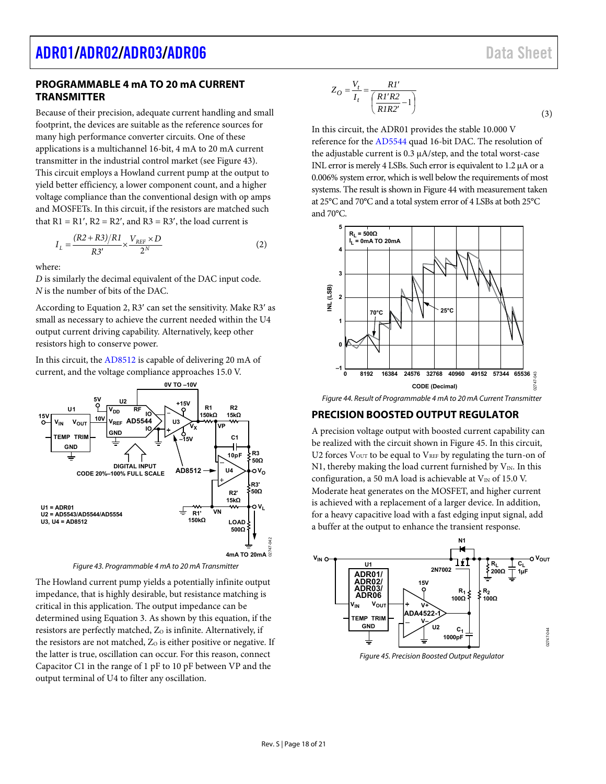### <span id="page-17-0"></span>**PROGRAMMABLE 4 mA TO 20 mA CURRENT TRANSMITTER**

Because of their precision, adequate current handling and small footprint, the devices are suitable as the reference sources for many high performance converter circuits. One of these applications is a multichannel 16-bit, 4 mA to 20 mA current transmitter in the industrial control market (se[e Figure 43\)](#page-17-2). This circuit employs a Howland current pump at the output to yield better efficiency, a lower component count, and a higher voltage compliance than the conventional design with op amps and MOSFETs. In this circuit, if the resistors are matched such

that  $R1 = R1'$ ,  $R2 = R2'$ , and  $R3 = R3'$ , the load current is

$$
I_L = \frac{(R2 + R3)/R1}{R3'} \times \frac{V_{REF} \times D}{2^N}
$$
 (2)

where:

*D* is similarly the decimal equivalent of the DAC input code. *N* is the number of bits of the DAC.

According to Equation 2, R3' can set the sensitivity. Make R3' as small as necessary to achieve the current needed within the U4 output current driving capability. Alternatively, keep other resistors high to conserve power.

In this circuit, th[e AD8512 i](https://www.analog.com/AD8512?doc=ADR01_02_03_06.pdf)s capable of delivering 20 mA of current, and the voltage compliance approaches 15.0 V.



Figure 43. Programmable 4 mA to 20 mA Transmitter

<span id="page-17-2"></span>The Howland current pump yields a potentially infinite output impedance, that is highly desirable, but resistance matching is critical in this application. The output impedance can be determined using Equation 3. As shown by this equation, if the resistors are perfectly matched, Zo is infinite. Alternatively, if the resistors are not matched,  $Z_0$  is either positive or negative. If the latter is true, oscillation can occur. For this reason, connect Capacitor C1 in the range of 1 pF to 10 pF between VP and the output terminal of U4 to filter any oscillation.

$$
Z_O = \frac{V_t}{I_t} = \frac{R I'}{\left(\frac{R I'R2}{R I R 2'} - 1\right)}
$$
\n(3)

In this circuit, the ADR01 provides the stable 10.000 V reference for th[e AD5544](https://www.analog.com/AD5544?doc=ADR01_02_03_06.pdf) quad 16-bit DAC. The resolution of the adjustable current is 0.3 μA/step, and the total worst-case INL error is merely 4 LSBs. Such error is equivalent to 1.2 μA or a 0.006% system error, which is well below the requirements of most systems. The result is shown i[n Figure 44 w](#page-17-3)ith measurement taken at 25°C and 70°C and a total system error of 4 LSBs at both 25°C and 70°C.



<span id="page-17-3"></span>Figure 44. Result of Programmable 4 mA to 20 mA Current Transmitter

### <span id="page-17-1"></span>**PRECISION BOOSTED OUTPUT REGULATOR**

A precision voltage output with boosted current capability can be realized with the circuit shown in [Figure 45.](#page-17-4) In this circuit, U2 forces  $V<sub>OUT</sub>$  to be equal to  $V<sub>REF</sub>$  by regulating the turn-on of N1, thereby making the load current furnished by  $V_{IN}$ . In this configuration, a 50 mA load is achievable at  $V_{\text{IN}}$  of 15.0 V. Moderate heat generates on the MOSFET, and higher current is achieved with a replacement of a larger device. In addition, for a heavy capacitive load with a fast edging input signal, add a buffer at the output to enhance the transient response.



<span id="page-17-4"></span>Figure 45. Precision Boosted Output Regulator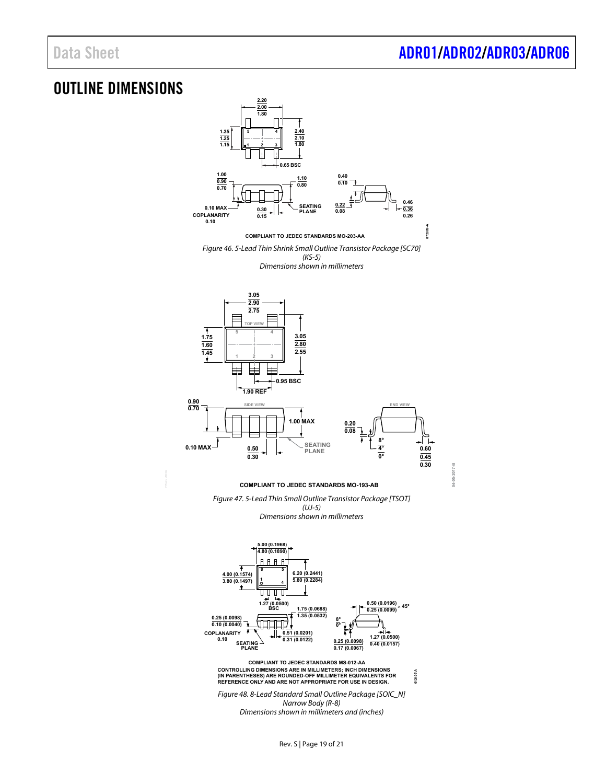**04-05-2017-B**

04-05-2017-B

# <span id="page-18-0"></span>OUTLINE DIMENSIONS



Rev. S | Page 19 of 21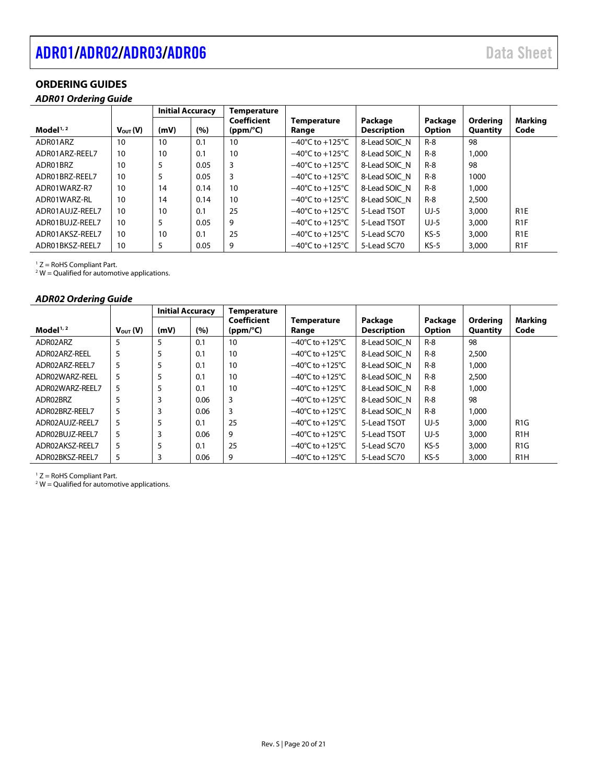# <span id="page-19-0"></span>[ADR01/](https://www.analog.com/ADR01?doc=ADR01_02_03_06.pdf)[ADR02/](https://www.analog.com/ADR02?doc=ADR01_02_03_06.pdf)[ADR03/](https://www.analog.com/ADR03?doc=ADR01_02_03_06.pdf)[ADR06](https://www.analog.com/ADR06?doc=ADR01_02_03_06.pdf) data Sheet

## **ORDERING GUIDES**

### *ADR01 Ordering Guide*

|                 |                     | <b>Initial Accuracy</b> |      |                         |                                     | Temperature                   |                   |                      |                        |  |  |
|-----------------|---------------------|-------------------------|------|-------------------------|-------------------------------------|-------------------------------|-------------------|----------------------|------------------------|--|--|
| Model $1/2$     | $V_{\text{out}}(V)$ | (mV)                    | (%)  | Coefficient<br>(ppm/°C) | <b>Temperature</b><br>Range         | Package<br><b>Description</b> | Package<br>Option | Orderina<br>Quantity | <b>Marking</b><br>Code |  |  |
| ADR01ARZ        | 10                  | 10                      | 0.1  | 10                      | $-40^{\circ}$ C to $+125^{\circ}$ C | 8-Lead SOIC N                 | $R-8$             | 98                   |                        |  |  |
| ADR01ARZ-REEL7  | 10                  | 10                      | 0.1  | 10                      | $-40^{\circ}$ C to $+125^{\circ}$ C | 8-Lead SOIC N                 | $R-8$             | 1.000                |                        |  |  |
| ADR01BRZ        | 10                  | 5                       | 0.05 | 3                       | $-40^{\circ}$ C to $+125^{\circ}$ C | 8-Lead SOIC N                 | $R-8$             | 98                   |                        |  |  |
| ADR01BRZ-REEL7  | 10                  | 5                       | 0.05 | 3                       | $-40^{\circ}$ C to $+125^{\circ}$ C | 8-Lead SOIC N                 | $R-8$             | 1000                 |                        |  |  |
| ADR01WARZ-R7    | 10                  | 14                      | 0.14 | 10                      | $-40^{\circ}$ C to $+125^{\circ}$ C | 8-Lead SOIC N                 | $R-8$             | 1.000                |                        |  |  |
| ADR01WARZ-RL    | 10                  | 14                      | 0.14 | 10                      | $-40^{\circ}$ C to $+125^{\circ}$ C | 8-Lead SOIC N                 | $R-8$             | 2,500                |                        |  |  |
| ADR01AUJZ-REEL7 | 10                  | 10                      | 0.1  | 25                      | $-40^{\circ}$ C to $+125^{\circ}$ C | 5-Lead TSOT                   | $UJ-5$            | 3,000                | R <sub>1</sub> E       |  |  |
| ADR01BUJZ-REEL7 | 10                  | 5                       | 0.05 | 9                       | $-40^{\circ}$ C to $+125^{\circ}$ C | 5-Lead TSOT                   | $UJ-5$            | 3,000                | R <sub>1</sub> F       |  |  |
| ADR01AKSZ-REEL7 | 10                  | 10                      | 0.1  | 25                      | $-40^{\circ}$ C to $+125^{\circ}$ C | 5-Lead SC70                   | $KS-5$            | 3,000                | R <sub>1</sub> E       |  |  |
| ADR01BKSZ-REEL7 | 10                  | 5                       | 0.05 | 9                       | $-40^{\circ}$ C to $+125^{\circ}$ C | 5-Lead SC70                   | $KS-5$            | 3,000                | R <sub>1</sub> F       |  |  |

 $1 Z =$  RoHS Compliant Part.

 $2$  W = Qualified for automotive applications.

#### *ADR02 Ordering Guide*

|                 |                     | <b>Initial Accuracy</b> |      | Temperature             |                                     |                               |                          |                      |                  |
|-----------------|---------------------|-------------------------|------|-------------------------|-------------------------------------|-------------------------------|--------------------------|----------------------|------------------|
| Model $1/2$     | $V_{\text{out}}(V)$ | (mV)                    | (%)  | Coefficient<br>(ppm/°C) | Temperature<br>Range                | Package<br><b>Description</b> | Package<br><b>Option</b> | Orderina<br>Quantity | Marking<br>Code  |
| ADR02ARZ        | 5                   | 5                       | 0.1  | 10                      | $-40^{\circ}$ C to $+125^{\circ}$ C | 8-Lead SOIC N                 | $R-8$                    | 98                   |                  |
| ADR02ARZ-REEL   | 5                   | 5                       | 0.1  | 10                      | $-40^{\circ}$ C to $+125^{\circ}$ C | 8-Lead SOIC N                 | $R-8$                    | 2,500                |                  |
| ADR02ARZ-REEL7  | 5                   | 5                       | 0.1  | 10                      | $-40^{\circ}$ C to $+125^{\circ}$ C | 8-Lead SOIC N                 | $R-8$                    | 1.000                |                  |
| ADR02WARZ-REEL  | 5                   |                         | 0.1  | 10                      | $-40^{\circ}$ C to $+125^{\circ}$ C | 8-Lead SOIC N                 | $R-8$                    | 2,500                |                  |
| ADR02WARZ-REEL7 | 5                   | 5                       | 0.1  | 10                      | $-40^{\circ}$ C to $+125^{\circ}$ C | 8-Lead SOIC N                 | $R-8$                    | 1,000                |                  |
| ADR02BRZ        | 5                   |                         | 0.06 | 3                       | $-40^{\circ}$ C to $+125^{\circ}$ C | 8-Lead SOIC N                 | $R-8$                    | 98                   |                  |
| ADR02BRZ-REEL7  | 5                   |                         | 0.06 | 3                       | $-40^{\circ}$ C to $+125^{\circ}$ C | 8-Lead SOIC N                 | $R-8$                    | 1,000                |                  |
| ADR02AUJZ-REEL7 | 5                   | 5                       | 0.1  | 25                      | $-40^{\circ}$ C to $+125^{\circ}$ C | 5-Lead TSOT                   | UJ-5                     | 3,000                | R <sub>1</sub> G |
| ADR02BUJZ-REEL7 | 5                   | 3                       | 0.06 | 9                       | $-40^{\circ}$ C to $+125^{\circ}$ C | 5-Lead TSOT                   | UJ-5                     | 3,000                | R <sub>1</sub> H |
| ADR02AKSZ-REEL7 | 5                   | 5                       | 0.1  | 25                      | $-40^{\circ}$ C to $+125^{\circ}$ C | 5-Lead SC70                   | $KS-5$                   | 3,000                | R <sub>1</sub> G |
| ADR02BKSZ-REEL7 | 5                   | 3                       | 0.06 | 9                       | $-40^{\circ}$ C to $+125^{\circ}$ C | 5-Lead SC70                   | $KS-5$                   | 3,000                | R <sub>1</sub> H |

<sup>1</sup> Z = RoHS Compliant Part.<br><sup>2</sup> W = Qualified for automotive applications.